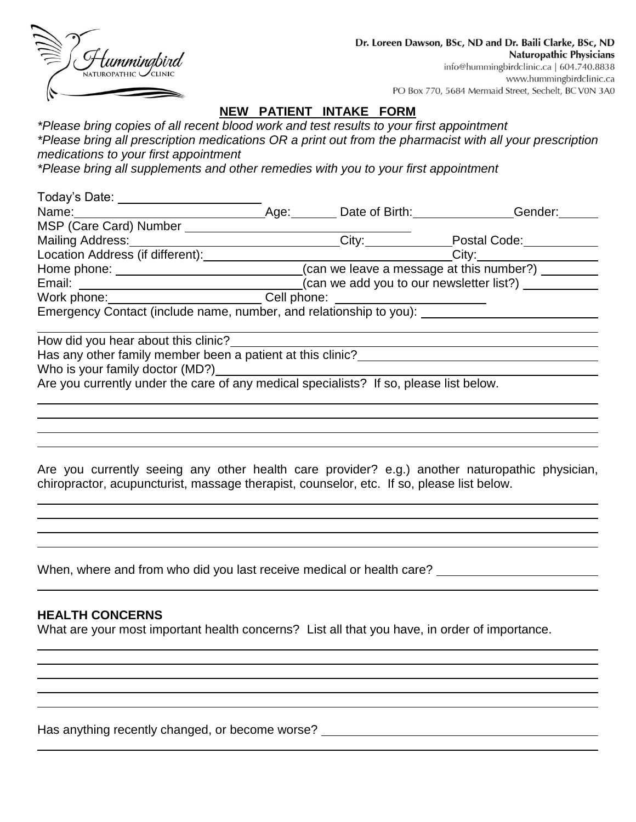| Hummingbird<br><sub>NATUROPATHIC</sub> CLINIC |
|-----------------------------------------------|
|                                               |
|                                               |

## **NEW PATIENT INTAKE FORM**

*\*Please bring copies of all recent blood work and test results to your first appointment \*Please bring all prescription medications OR a print out from the pharmacist with all your prescription medications to your first appointment*

*\*Please bring all supplements and other remedies with you to your first appointment*

| Today's Date: _______________                                                                                                                                                                                                  |                     |                                                   |
|--------------------------------------------------------------------------------------------------------------------------------------------------------------------------------------------------------------------------------|---------------------|---------------------------------------------------|
|                                                                                                                                                                                                                                | Age: Date of Birth: | Gender:                                           |
| MSP (Care Card) Number <b>Name 10 and 10</b>                                                                                                                                                                                   |                     |                                                   |
| Mailing Address:                                                                                                                                                                                                               | City:               | Postal Code:                                      |
| Location Address (if different): Note that the set of the set of the set of the set of the set of the set of the set of the set of the set of the set of the set of the set of the set of the set of the set of the set of the |                     | _City:_____________________                       |
|                                                                                                                                                                                                                                |                     | (can we leave a message at this number?) $\qquad$ |
|                                                                                                                                                                                                                                |                     | (can we add you to our newsletter list?)          |
| Work phone: ____________________________Cell phone: ____________________________                                                                                                                                               |                     |                                                   |
| Emergency Contact (include name, number, and relationship to you):                                                                                                                                                             |                     |                                                   |
|                                                                                                                                                                                                                                |                     |                                                   |
| Has any other family member been a patient at this clinic?                                                                                                                                                                     |                     |                                                   |
|                                                                                                                                                                                                                                |                     |                                                   |
| Are you currently under the care of any medical specialists? If so, please list below.                                                                                                                                         |                     |                                                   |
|                                                                                                                                                                                                                                |                     |                                                   |

Are you currently seeing any other health care provider? e.g.) another naturopathic physician, chiropractor, acupuncturist, massage therapist, counselor, etc. If so, please list below.

When, where and from who did you last receive medical or health care?

#### **HEALTH CONCERNS**

What are your most important health concerns? List all that you have, in order of importance.

Has anything recently changed, or become worse? \_\_\_\_\_\_\_\_\_\_\_\_\_\_\_\_\_\_\_\_\_\_\_\_\_\_\_\_\_\_\_\_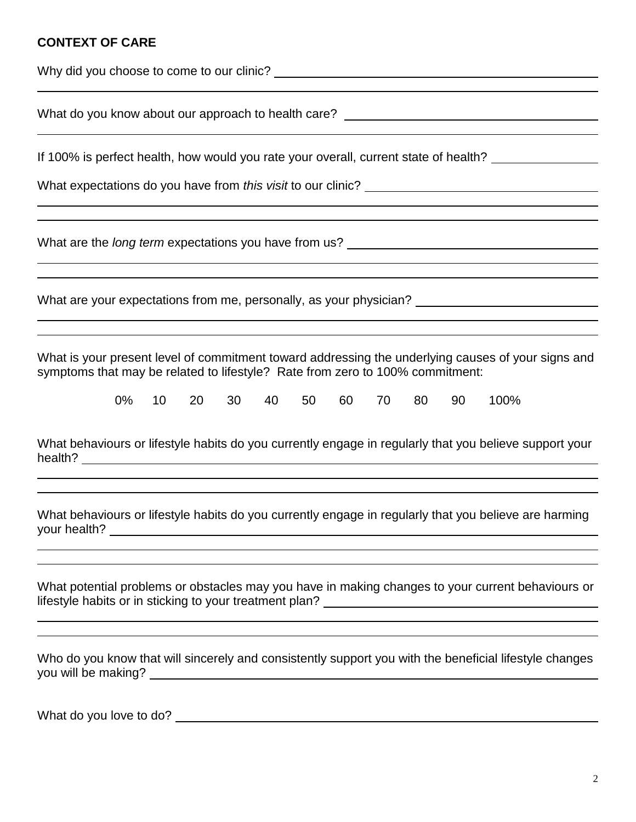#### **CONTEXT OF CARE**

What do you know about our approach to health care? \_\_\_\_\_\_\_\_\_\_\_\_\_\_\_\_\_\_\_\_\_\_\_\_\_\_\_\_

If 100% is perfect health, how would you rate your overall, current state of health?

What expectations do you have from *this visit* to our clinic?

What are the *long term* expectations you have from us?

What are your expectations from me, personally, as your physician?

What is your present level of commitment toward addressing the underlying causes of your signs and symptoms that may be related to lifestyle? Rate from zero to 100% commitment:

|  |  |  |  |  | 0% 10 20 30 40 50 60 70 80 90 100% |
|--|--|--|--|--|------------------------------------|
|  |  |  |  |  |                                    |

What behaviours or lifestyle habits do you currently engage in regularly that you believe support your health?

What behaviours or lifestyle habits do you currently engage in regularly that you believe are harming your health?

What potential problems or obstacles may you have in making changes to your current behaviours or lifestyle habits or in sticking to your treatment plan?

| Who do you know that will sincerely and consistently support you with the beneficial lifestyle changes |  |  |  |
|--------------------------------------------------------------------------------------------------------|--|--|--|
| you will be making?                                                                                    |  |  |  |

What do you love to do?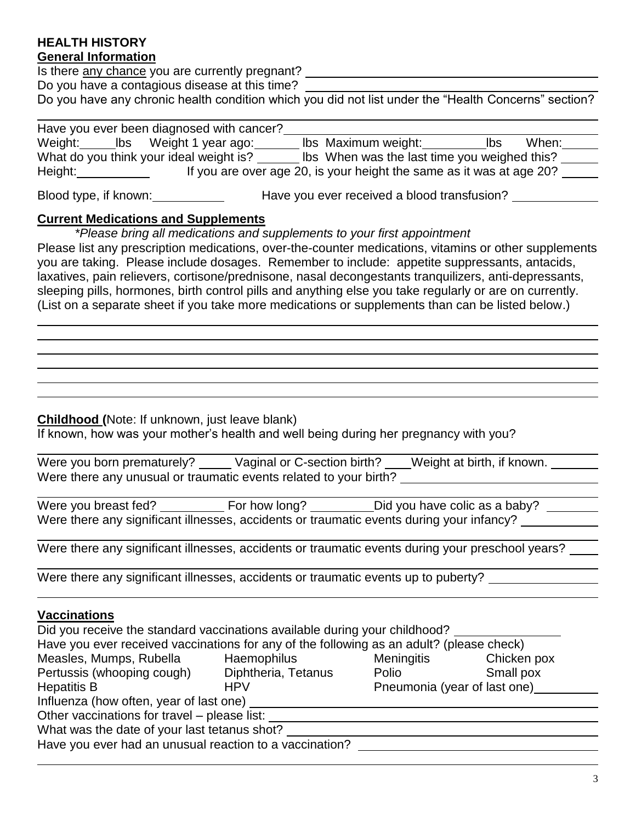#### **HEALTH HISTORY General Information**

Is there any chance you are currently pregnant?

Do you have a contagious disease at this time?

Do you have any chronic health condition which you did not list under the "Health Concerns" section?

|         | Have you ever been diagnosed with cancer? |                                                                      |      |       |
|---------|-------------------------------------------|----------------------------------------------------------------------|------|-------|
|         | Weight: Ibs Weight 1 year ago:            | Ibs Maximum weight:                                                  | lbs. | When: |
|         | What do you think your ideal weight is?   | Ibs When was the last time you weighed this?                         |      |       |
| Height: |                                           | If you are over age 20, is your height the same as it was at age 20? |      |       |
|         |                                           |                                                                      |      |       |

Blood type, if known: Have you ever received a blood transfusion?

## **Current Medications and Supplements**

*\*Please bring all medications and supplements to your first appointment*

Please list any prescription medications, over-the-counter medications, vitamins or other supplements you are taking. Please include dosages. Remember to include: appetite suppressants, antacids, laxatives, pain relievers, cortisone/prednisone, nasal decongestants tranquilizers, anti-depressants, sleeping pills, hormones, birth control pills and anything else you take regularly or are on currently. (List on a separate sheet if you take more medications or supplements than can be listed below.)

#### **Childhood (**Note: If unknown, just leave blank)

If known, how was your mother's health and well being during her pregnancy with you?

| Were you born prematurely?                                        | Vaginal or C-section birth? | Weight at birth, if known. |  |
|-------------------------------------------------------------------|-----------------------------|----------------------------|--|
| Were there any unusual or traumatic events related to your birth? |                             |                            |  |

Were you breast fed? For how long? Did you have colic as a baby? Were there any significant illnesses, accidents or traumatic events during your infancy?

Were there any significant illnesses, accidents or traumatic events during your preschool years?

Were there any significant illnesses, accidents or traumatic events up to puberty?

## **Vaccinations**

| Did you receive the standard vaccinations available during your childhood?               |                                      |                   |             |  |  |  |
|------------------------------------------------------------------------------------------|--------------------------------------|-------------------|-------------|--|--|--|
| Have you ever received vaccinations for any of the following as an adult? (please check) |                                      |                   |             |  |  |  |
| Measles, Mumps, Rubella                                                                  | Haemophilus                          | <b>Meningitis</b> | Chicken pox |  |  |  |
| Pertussis (whooping cough)                                                               | Diphtheria, Tetanus                  | Polio             | Small pox   |  |  |  |
| <b>Hepatitis B</b>                                                                       | Pneumonia (year of last one)<br>HPV. |                   |             |  |  |  |
| Influenza (how often, year of last one)                                                  |                                      |                   |             |  |  |  |
| Other vaccinations for travel – please list:                                             |                                      |                   |             |  |  |  |
| What was the date of your last tetanus shot?                                             |                                      |                   |             |  |  |  |
| Have you ever had an unusual reaction to a vaccination?                                  |                                      |                   |             |  |  |  |

i<br>L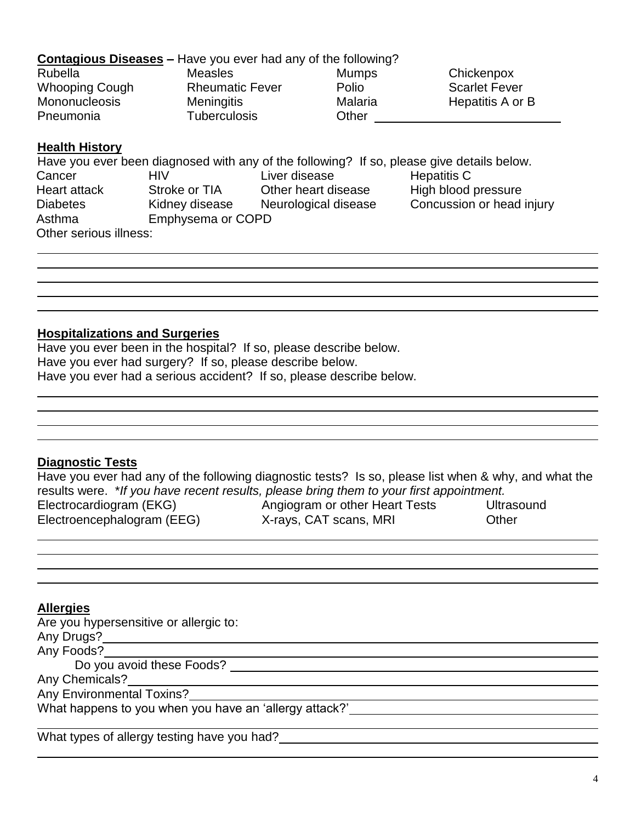## **Contagious Diseases –** Have you ever had any of the following?

| Rubella               | Measles                | <b>Mumps</b> |  |
|-----------------------|------------------------|--------------|--|
| <b>Whooping Cough</b> | <b>Rheumatic Fever</b> | Polio        |  |
| <b>Mononucleosis</b>  | <b>Meningitis</b>      | Malaria      |  |
| Pneumonia             | <b>Tuberculosis</b>    | Other        |  |

Chickenpox Scarlet Fever Hepatitis A or B

#### **Health History**

|                        |                   | Have you ever been diagnosed with any of the following? If so, please give details below. |                           |
|------------------------|-------------------|-------------------------------------------------------------------------------------------|---------------------------|
| Cancer                 | HIV               | Liver disease                                                                             | Hepatitis C               |
| Heart attack           | Stroke or TIA     | Other heart disease                                                                       | High blood pressure       |
| <b>Diabetes</b>        | Kidney disease    | Neurological disease                                                                      | Concussion or head injury |
| Asthma                 | Emphysema or COPD |                                                                                           |                           |
| Other serious illness: |                   |                                                                                           |                           |

## **Hospitalizations and Surgeries**

Have you ever been in the hospital? If so, please describe below. Have you ever had surgery? If so, please describe below. Have you ever had a serious accident? If so, please describe below.

## **Diagnostic Tests**

Have you ever had any of the following diagnostic tests? Is so, please list when & why, and what the results were. \**If you have recent results, please bring them to your first appointment.* Electrocardiogram (EKG) and Angiogram or other Heart Tests and Ultrasound Electroencephalogram (EEG) X-rays, CAT scans, MRI Other

## **Allergies**

Are you hypersensitive or allergic to:

Any Drugs?

Any Foods?

Do you avoid these Foods?

Any Chemicals?

Any Environmental Toxins?

What happens to you when you have an 'allergy attack?'

What types of allergy testing have you had?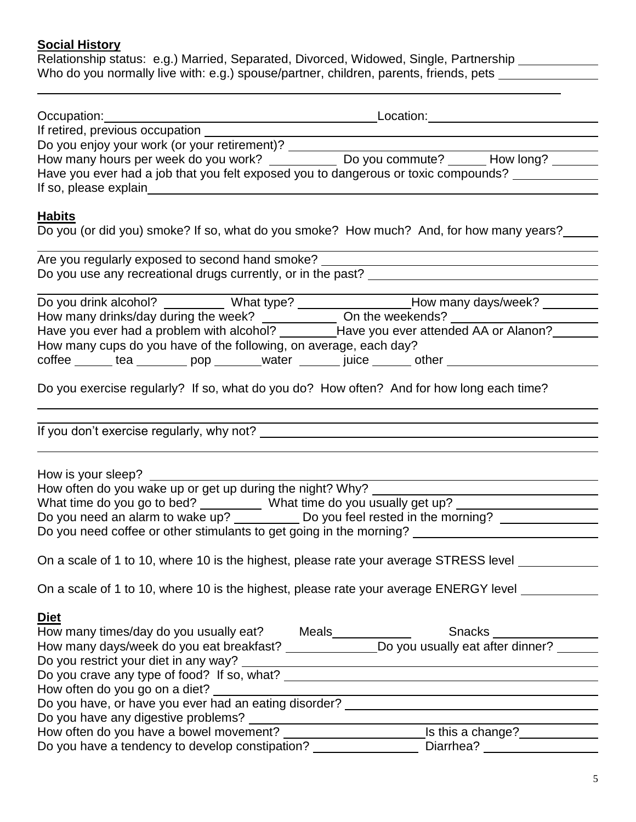## **Social History**

Relationship status: e.g.) Married, Separated, Divorced, Widowed, Single, Partnership Who do you normally live with: e.g.) spouse/partner, children, parents, friends, pets \_\_\_\_\_\_\_\_\_\_\_\_\_

| Occupation:                                                                                              |  | Location: |                             |
|----------------------------------------------------------------------------------------------------------|--|-----------|-----------------------------|
| If retired, previous occupation _____                                                                    |  |           |                             |
| Do you enjoy your work (or your retirement)?                                                             |  |           |                             |
| How many hours per week do you work? ____________________________Do you commute? ___________How long?    |  |           |                             |
| Have you ever had a job that you felt exposed you to dangerous or toxic compounds?                       |  |           |                             |
| If so, please explain                                                                                    |  |           |                             |
| <b>Habits</b><br>Do you (or did you) smoke? If so, what do you smoke? How much? And, for how many years? |  |           |                             |
| Are you regularly exposed to second hand smoke?                                                          |  |           |                             |
| Do you use any recreational drugs currently, or in the past?                                             |  |           |                             |
| Do you drink alcohol? ___________ What type? ___________________________________                         |  |           | How many days/week? _______ |
| How many drinks/day during the week? On the weekends?                                                    |  |           |                             |
| Have you ever had a problem with alcohol?<br>Canonela 10 AA hahaatte 1970 uov avet                       |  |           |                             |

| Do you drink alcohol?                                                             | What type? | How many days/week? |       |  |
|-----------------------------------------------------------------------------------|------------|---------------------|-------|--|
| How many drinks/day during the week?                                              |            | On the weekends?    |       |  |
| Have you ever attended AA or Alanon?<br>Have you ever had a problem with alcohol? |            |                     |       |  |
| How many cups do you have of the following, on average, each day?                 |            |                     |       |  |
| coffee<br>tea<br>pop                                                              | water      | <b>TUICE</b>        | other |  |
|                                                                                   |            |                     |       |  |

Do you exercise regularly? If so, what do you do? How often? And for how long each time?

If you don't exercise regularly, why not?

How is your sleep?

| How often do you wake up or get up during the night? Why?           |                                    |  |
|---------------------------------------------------------------------|------------------------------------|--|
| What time do you go to bed?                                         | What time do you usually get up?   |  |
| Do you need an alarm to wake up?                                    | Do you feel rested in the morning? |  |
| Do you need coffee or other stimulants to get going in the morning? |                                    |  |
|                                                                     |                                    |  |

On a scale of 1 to 10, where 10 is the highest, please rate your average STRESS level

On a scale of 1 to 10, where 10 is the highest, please rate your average ENERGY level \_\_\_\_\_\_\_\_\_\_\_\_\_

#### **Diet**

| How many times/day do you usually eat?<br><b>Meals</b> | <b>Snacks</b>                    |
|--------------------------------------------------------|----------------------------------|
| How many days/week do you eat breakfast?               | Do you usually eat after dinner? |
| Do you restrict your diet in any way?                  |                                  |
| Do you crave any type of food? If so, what?            |                                  |
| How often do you go on a diet?                         |                                  |
| Do you have, or have you ever had an eating disorder?  |                                  |
| Do you have any digestive problems?                    |                                  |
| How often do you have a bowel movement?                | Is this a change?                |
| Do you have a tendency to develop constipation?        | Diarrhea?                        |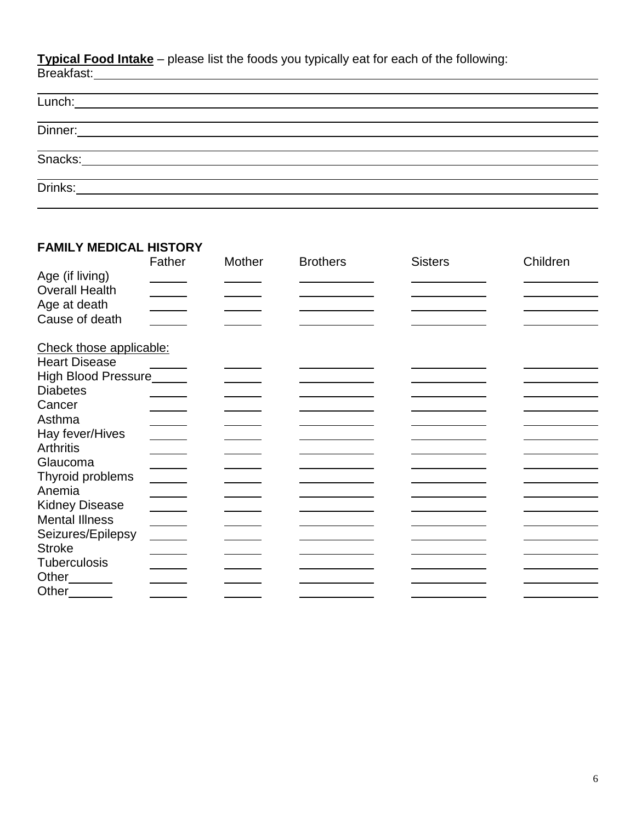**Typical Food Intake** – please list the foods you typically eat for each of the following: Breakfast:

| Lunch:  | <u> 1989 - Johann John Stone, markin sanadi a shekara ta 1989 - An tsa markin sanadi a shekara ta 1989 - An tsa </u> |  |  |  |
|---------|----------------------------------------------------------------------------------------------------------------------|--|--|--|
| Dinner: | <u> 1980 - Jan James James Barbara, president politik (</u>                                                          |  |  |  |
| Snacks: |                                                                                                                      |  |  |  |
| Drinks: |                                                                                                                      |  |  |  |
|         |                                                                                                                      |  |  |  |

# **FAMILY MEDICAL HISTORY**

|                                                                            | Father                                                                                         | Mother | <b>Brothers</b> | <b>Sisters</b> | Children |
|----------------------------------------------------------------------------|------------------------------------------------------------------------------------------------|--------|-----------------|----------------|----------|
| Age (if living)<br><b>Overall Health</b><br>Age at death<br>Cause of death |                                                                                                |        |                 |                |          |
| Check those applicable:                                                    |                                                                                                |        |                 |                |          |
| <b>Heart Disease</b>                                                       |                                                                                                |        |                 |                |          |
| High Blood Pressure_____                                                   |                                                                                                |        |                 |                |          |
| <b>Diabetes</b>                                                            |                                                                                                |        |                 |                |          |
| Cancer                                                                     |                                                                                                |        |                 |                |          |
| Asthma                                                                     |                                                                                                |        |                 |                |          |
| Hay fever/Hives                                                            |                                                                                                |        |                 |                |          |
| <b>Arthritis</b>                                                           |                                                                                                |        |                 |                |          |
| Glaucoma                                                                   |                                                                                                |        |                 |                |          |
| Thyroid problems                                                           |                                                                                                |        |                 |                |          |
| Anemia                                                                     |                                                                                                |        |                 |                |          |
| <b>Kidney Disease</b>                                                      |                                                                                                |        |                 |                |          |
| <b>Mental Illness</b>                                                      |                                                                                                |        |                 |                |          |
| Seizures/Epilepsy                                                          | $\frac{1}{\sqrt{1-\frac{1}{2}}\left(1-\frac{1}{2}\right)}\left(\frac{1}{2}-\frac{1}{2}\right)$ |        |                 |                |          |
| <b>Stroke</b>                                                              |                                                                                                |        |                 |                |          |
| <b>Tuberculosis</b>                                                        |                                                                                                |        |                 |                |          |
| Other______                                                                |                                                                                                |        |                 |                |          |
| Other________                                                              |                                                                                                |        |                 |                |          |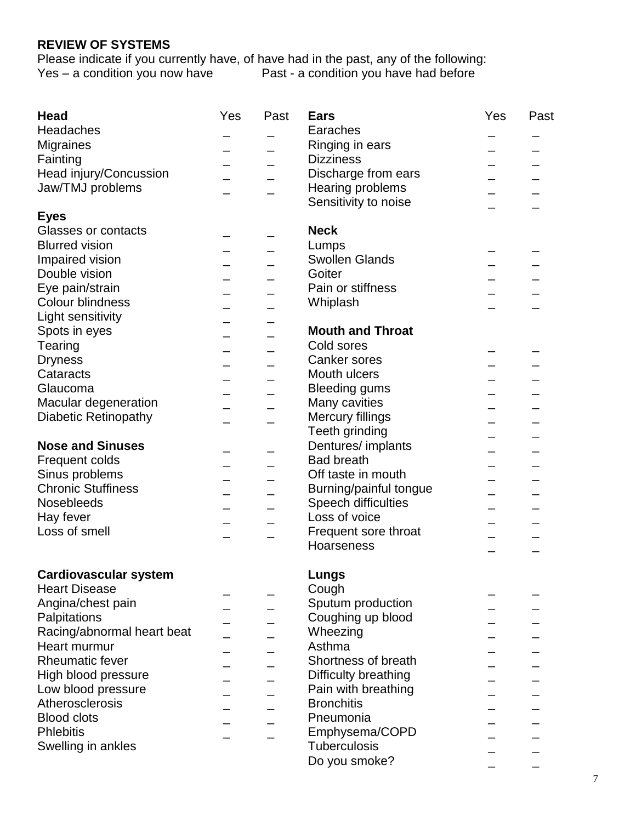## **REVIEW OF SYSTEMS**

Please indicate if you currently have, of have had in the past, any of the following: Yes – a condition you now have **Past - a condition you have had before** 

| <b>Head</b>                  | Yes | Past | <b>Ears</b>             | Yes | Past |
|------------------------------|-----|------|-------------------------|-----|------|
| Headaches                    |     |      | Earaches                |     |      |
| Migraines                    |     |      | Ringing in ears         |     |      |
| Fainting                     |     |      | <b>Dizziness</b>        |     |      |
| Head injury/Concussion       |     |      | Discharge from ears     |     |      |
| Jaw/TMJ problems             |     |      | Hearing problems        |     |      |
|                              |     |      | Sensitivity to noise    |     |      |
| <b>Eyes</b>                  |     |      |                         |     |      |
| Glasses or contacts          |     |      | <b>Neck</b>             |     |      |
| <b>Blurred vision</b>        |     |      | Lumps                   |     |      |
| Impaired vision              |     |      | <b>Swollen Glands</b>   |     |      |
| Double vision                |     |      | Goiter                  |     |      |
| Eye pain/strain              |     |      | Pain or stiffness       |     |      |
| <b>Colour blindness</b>      |     |      | Whiplash                |     |      |
|                              |     |      |                         |     |      |
| Light sensitivity            |     |      | <b>Mouth and Throat</b> |     |      |
| Spots in eyes                |     |      |                         |     |      |
| Tearing                      |     |      | Cold sores              |     |      |
| <b>Dryness</b>               |     |      | Canker sores            |     |      |
| Cataracts                    |     |      | Mouth ulcers            |     |      |
| Glaucoma                     |     |      | <b>Bleeding gums</b>    |     |      |
| Macular degeneration         |     |      | Many cavities           |     |      |
| <b>Diabetic Retinopathy</b>  |     |      | Mercury fillings        |     |      |
|                              |     |      | Teeth grinding          |     |      |
| <b>Nose and Sinuses</b>      |     |      | Dentures/ implants      |     |      |
| Frequent colds               |     |      | <b>Bad breath</b>       |     |      |
| Sinus problems               |     |      | Off taste in mouth      |     |      |
| <b>Chronic Stuffiness</b>    |     |      | Burning/painful tongue  |     |      |
| Nosebleeds                   |     |      | Speech difficulties     |     |      |
| Hay fever                    |     |      | Loss of voice           |     |      |
| Loss of smell                |     |      | Frequent sore throat    |     |      |
|                              |     |      | Hoarseness              |     |      |
|                              |     |      |                         |     |      |
| <b>Cardiovascular system</b> |     |      | Lungs                   |     |      |
| <b>Heart Disease</b>         |     |      | Cough                   |     |      |
| Angina/chest pain            |     |      | Sputum production       |     |      |
| Palpitations                 |     |      | Coughing up blood       |     |      |
| Racing/abnormal heart beat   |     |      | Wheezing                |     |      |
| Heart murmur                 |     |      | Asthma                  |     |      |
| <b>Rheumatic fever</b>       |     |      | Shortness of breath     |     |      |
|                              |     |      |                         |     |      |
| High blood pressure          |     |      | Difficulty breathing    |     |      |
| Low blood pressure           |     |      | Pain with breathing     |     |      |
| Atherosclerosis              |     |      | <b>Bronchitis</b>       |     |      |
| <b>Blood clots</b>           |     |      | Pneumonia               |     |      |
| <b>Phlebitis</b>             |     |      | Emphysema/COPD          |     |      |
| Swelling in ankles           |     |      | Tuberculosis            |     |      |
|                              |     |      | Do you smoke?           |     |      |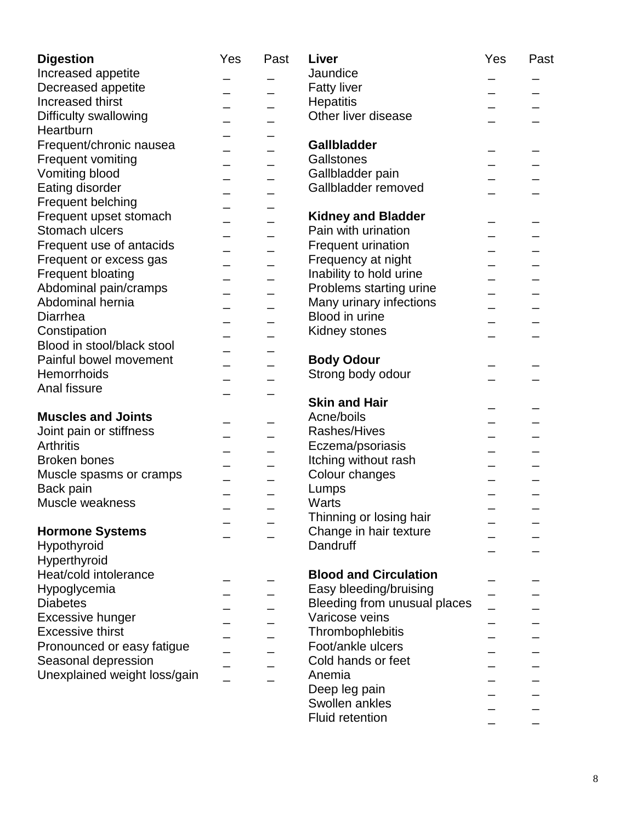| <b>Digestion</b>             | Yes | Past | Liver                        | Yes | Past |
|------------------------------|-----|------|------------------------------|-----|------|
| Increased appetite           |     |      | Jaundice                     |     |      |
| Decreased appetite           |     |      | <b>Fatty liver</b>           |     |      |
| Increased thirst             |     |      | <b>Hepatitis</b>             |     |      |
| Difficulty swallowing        |     |      | Other liver disease          |     |      |
| Heartburn                    |     |      |                              |     |      |
| Frequent/chronic nausea      |     |      | <b>Gallbladder</b>           |     |      |
| <b>Frequent vomiting</b>     |     |      | Gallstones                   |     |      |
| Vomiting blood               |     |      | Gallbladder pain             |     |      |
| Eating disorder              |     |      | Gallbladder removed          |     |      |
| Frequent belching            |     |      |                              |     |      |
| Frequent upset stomach       |     |      | <b>Kidney and Bladder</b>    |     |      |
| Stomach ulcers               |     |      | Pain with urination          |     |      |
| Frequent use of antacids     |     |      | <b>Frequent urination</b>    |     |      |
| Frequent or excess gas       |     |      | Frequency at night           |     |      |
| Frequent bloating            |     |      | Inability to hold urine      |     |      |
| Abdominal pain/cramps        |     |      | Problems starting urine      |     |      |
| Abdominal hernia             |     |      |                              |     |      |
|                              |     |      | Many urinary infections      |     |      |
| Diarrhea                     |     |      | Blood in urine               |     |      |
| Constipation                 |     |      | Kidney stones                |     |      |
| Blood in stool/black stool   |     |      |                              |     |      |
| Painful bowel movement       |     |      | <b>Body Odour</b>            |     |      |
| Hemorrhoids                  |     |      | Strong body odour            |     |      |
| Anal fissure                 |     |      |                              |     |      |
|                              |     |      | <b>Skin and Hair</b>         |     |      |
| <b>Muscles and Joints</b>    |     |      | Acne/boils                   |     |      |
| Joint pain or stiffness      |     |      | Rashes/Hives                 |     |      |
| <b>Arthritis</b>             |     |      | Eczema/psoriasis             |     |      |
| <b>Broken bones</b>          |     |      | Itching without rash         |     |      |
| Muscle spasms or cramps      |     |      | Colour changes               |     |      |
| Back pain                    |     |      | Lumps                        |     |      |
| Muscle weakness              |     |      | Warts                        |     |      |
|                              |     |      | Thinning or losing hair      |     |      |
| <b>Hormone Systems</b>       |     |      | Change in hair texture       |     |      |
| Hypothyroid                  |     |      | Dandruff                     |     |      |
| Hyperthyroid                 |     |      |                              |     |      |
| Heat/cold intolerance        |     |      | <b>Blood and Circulation</b> |     |      |
| Hypoglycemia                 |     |      | Easy bleeding/bruising       |     |      |
| <b>Diabetes</b>              |     |      | Bleeding from unusual places |     |      |
| <b>Excessive hunger</b>      |     |      | Varicose veins               |     |      |
| <b>Excessive thirst</b>      |     |      | Thrombophlebitis             |     |      |
| Pronounced or easy fatigue   |     |      | Foot/ankle ulcers            |     |      |
| Seasonal depression          |     |      | Cold hands or feet           |     |      |
| Unexplained weight loss/gain |     |      | Anemia                       |     |      |
|                              |     |      | Deep leg pain                |     |      |
|                              |     |      | Swollen ankles               |     |      |
|                              |     |      |                              |     |      |
|                              |     |      | Fluid retention              |     |      |